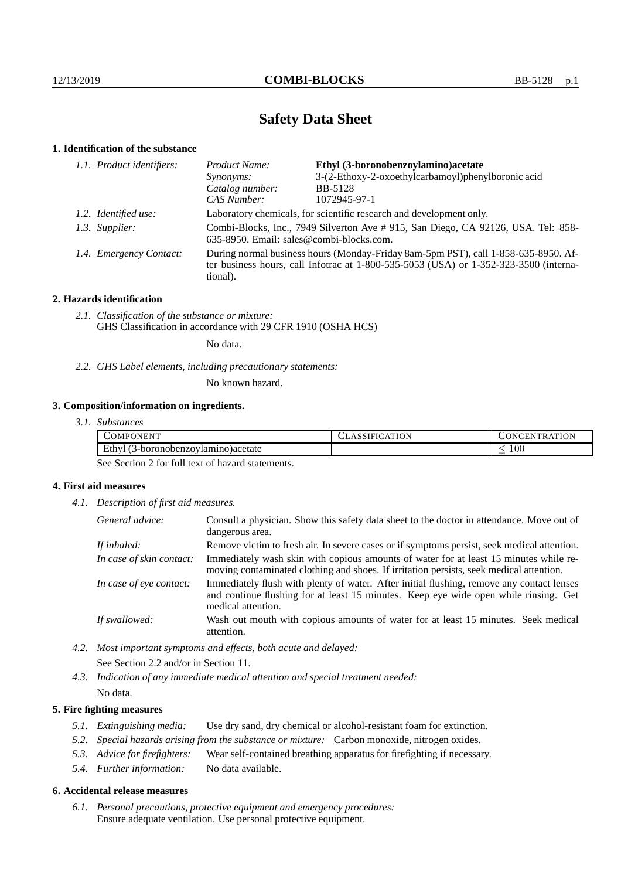# **Safety Data Sheet**

# **1. Identification of the substance**

| 1.1. Product identifiers: | Ethyl (3-boronobenzoylamino)acetate<br>Product Name:                                                                                                                                        |                                                    |  |
|---------------------------|---------------------------------------------------------------------------------------------------------------------------------------------------------------------------------------------|----------------------------------------------------|--|
|                           | Synonyms:                                                                                                                                                                                   | 3-(2-Ethoxy-2-oxoethylcarbamoyl)phenylboronic acid |  |
|                           | Catalog number:                                                                                                                                                                             | <b>BB-5128</b>                                     |  |
|                           | CAS Number:                                                                                                                                                                                 | 1072945-97-1                                       |  |
| 1.2. Identified use:      | Laboratory chemicals, for scientific research and development only.                                                                                                                         |                                                    |  |
| 1.3. Supplier:            | Combi-Blocks, Inc., 7949 Silverton Ave # 915, San Diego, CA 92126, USA. Tel: 858-<br>635-8950. Email: sales@combi-blocks.com.                                                               |                                                    |  |
| 1.4. Emergency Contact:   | During normal business hours (Monday-Friday 8am-5pm PST), call 1-858-635-8950. Af-<br>ter business hours, call Infotrac at $1-800-535-5053$ (USA) or $1-352-323-3500$ (interna-<br>tional). |                                                    |  |

## **2. Hazards identification**

*2.1. Classification of the substance or mixture:* GHS Classification in accordance with 29 CFR 1910 (OSHA HCS)

No data.

*2.2. GHS Label elements, including precautionary statements:*

No known hazard.

# **3. Composition/information on ingredients.**

| 3.1. Substances |  |
|-----------------|--|
|                 |  |

| . ONENT<br>'OMP(                                               | ATION | ATION<br>IN.<br>ER A I |
|----------------------------------------------------------------|-------|------------------------|
| $T_{\rm H}$ . 1<br>Lthv"<br>3-boronobenzovlamino<br>) )acetate |       | $100\,$<br>_           |

See Section 2 for full text of hazard statements.

# **4. First aid measures**

*4.1. Description of first aid measures.*

| General advice:          | Consult a physician. Show this safety data sheet to the doctor in attendance. Move out of<br>dangerous area.                                                                                            |
|--------------------------|---------------------------------------------------------------------------------------------------------------------------------------------------------------------------------------------------------|
| If inhaled:              | Remove victim to fresh air. In severe cases or if symptoms persist, seek medical attention.                                                                                                             |
| In case of skin contact: | Immediately wash skin with copious amounts of water for at least 15 minutes while re-<br>moving contaminated clothing and shoes. If irritation persists, seek medical attention.                        |
| In case of eye contact:  | Immediately flush with plenty of water. After initial flushing, remove any contact lenses<br>and continue flushing for at least 15 minutes. Keep eye wide open while rinsing. Get<br>medical attention. |
| If swallowed:            | Wash out mouth with copious amounts of water for at least 15 minutes. Seek medical<br>attention.                                                                                                        |

*4.2. Most important symptoms and effects, both acute and delayed:* See Section 2.2 and/or in Section 11.

*4.3. Indication of any immediate medical attention and special treatment needed:* No data.

# **5. Fire fighting measures**

- *5.1. Extinguishing media:* Use dry sand, dry chemical or alcohol-resistant foam for extinction.
- *5.2. Special hazards arising from the substance or mixture:* Carbon monoxide, nitrogen oxides.
- *5.3. Advice for firefighters:* Wear self-contained breathing apparatus for firefighting if necessary.
- *5.4. Further information:* No data available.

### **6. Accidental release measures**

*6.1. Personal precautions, protective equipment and emergency procedures:* Ensure adequate ventilation. Use personal protective equipment.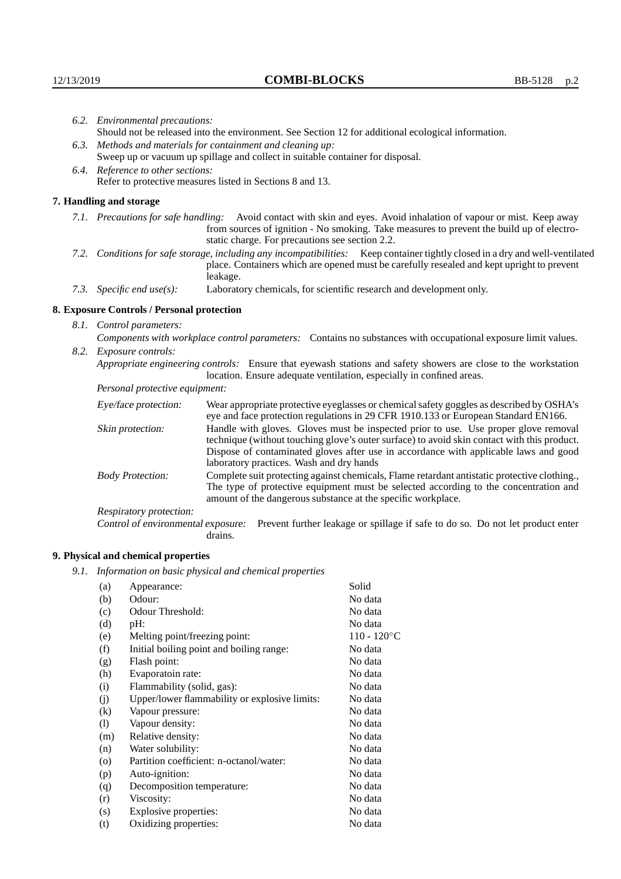| 6.2. Environmental precautions:   |                                                                                                                                                                                                                                                                    |                                                                                                                                                                                                                                                                                                                        |  |  |
|-----------------------------------|--------------------------------------------------------------------------------------------------------------------------------------------------------------------------------------------------------------------------------------------------------------------|------------------------------------------------------------------------------------------------------------------------------------------------------------------------------------------------------------------------------------------------------------------------------------------------------------------------|--|--|
|                                   | Should not be released into the environment. See Section 12 for additional ecological information.                                                                                                                                                                 |                                                                                                                                                                                                                                                                                                                        |  |  |
|                                   | 6.3. Methods and materials for containment and cleaning up:                                                                                                                                                                                                        |                                                                                                                                                                                                                                                                                                                        |  |  |
|                                   | Sweep up or vacuum up spillage and collect in suitable container for disposal.                                                                                                                                                                                     |                                                                                                                                                                                                                                                                                                                        |  |  |
| 6.4. Reference to other sections: |                                                                                                                                                                                                                                                                    |                                                                                                                                                                                                                                                                                                                        |  |  |
|                                   |                                                                                                                                                                                                                                                                    | Refer to protective measures listed in Sections 8 and 13.                                                                                                                                                                                                                                                              |  |  |
|                                   | 7. Handling and storage                                                                                                                                                                                                                                            |                                                                                                                                                                                                                                                                                                                        |  |  |
|                                   | 7.1. Precautions for safe handling: Avoid contact with skin and eyes. Avoid inhalation of vapour or mist. Keep away<br>from sources of ignition - No smoking. Take measures to prevent the build up of electro-<br>static charge. For precautions see section 2.2. |                                                                                                                                                                                                                                                                                                                        |  |  |
|                                   | 7.2. Conditions for safe storage, including any incompatibilities: Keep container tightly closed in a dry and well-ventilated<br>place. Containers which are opened must be carefully resealed and kept upright to prevent<br>leakage.                             |                                                                                                                                                                                                                                                                                                                        |  |  |
|                                   | 7.3. Specific end use(s):                                                                                                                                                                                                                                          | Laboratory chemicals, for scientific research and development only.                                                                                                                                                                                                                                                    |  |  |
|                                   | 8. Exposure Controls / Personal protection                                                                                                                                                                                                                         |                                                                                                                                                                                                                                                                                                                        |  |  |
| 8.1. Control parameters:          |                                                                                                                                                                                                                                                                    |                                                                                                                                                                                                                                                                                                                        |  |  |
|                                   |                                                                                                                                                                                                                                                                    | Components with workplace control parameters: Contains no substances with occupational exposure limit values.                                                                                                                                                                                                          |  |  |
|                                   | 8.2. Exposure controls:                                                                                                                                                                                                                                            |                                                                                                                                                                                                                                                                                                                        |  |  |
|                                   |                                                                                                                                                                                                                                                                    | Appropriate engineering controls: Ensure that eyewash stations and safety showers are close to the workstation<br>location. Ensure adequate ventilation, especially in confined areas.                                                                                                                                 |  |  |
|                                   | Personal protective equipment:                                                                                                                                                                                                                                     |                                                                                                                                                                                                                                                                                                                        |  |  |
|                                   | Eye/face protection:                                                                                                                                                                                                                                               | Wear appropriate protective eyeglasses or chemical safety goggles as described by OSHA's<br>eye and face protection regulations in 29 CFR 1910.133 or European Standard EN166.                                                                                                                                         |  |  |
|                                   | Skin protection:                                                                                                                                                                                                                                                   | Handle with gloves. Gloves must be inspected prior to use. Use proper glove removal<br>technique (without touching glove's outer surface) to avoid skin contact with this product.<br>Dispose of contaminated gloves after use in accordance with applicable laws and good<br>laboratory practices. Wash and dry hands |  |  |
|                                   | <b>Body Protection:</b>                                                                                                                                                                                                                                            | Complete suit protecting against chemicals, Flame retardant antistatic protective clothing.,<br>The type of protective equipment must be selected according to the concentration and<br>amount of the dangerous substance at the specific workplace.                                                                   |  |  |
|                                   | Respiratory protection:                                                                                                                                                                                                                                            |                                                                                                                                                                                                                                                                                                                        |  |  |

Control of environmental exposure: Prevent further leakage or spillage if safe to do so. Do not let product enter drains.

# **9. Physical and chemical properties**

*9.1. Information on basic physical and chemical properties*

| (a)     | Appearance:                                   | Solid          |
|---------|-----------------------------------------------|----------------|
| (b)     | Odour:                                        | No data        |
| (c)     | Odour Threshold:                              | No data        |
| (d)     | $pH$ :                                        | No data        |
| (e)     | Melting point/freezing point:                 | $110 - 120$ °C |
| (f)     | Initial boiling point and boiling range:      | No data        |
| (g)     | Flash point:                                  | No data        |
| (h)     | Evaporatoin rate:                             | No data        |
| (i)     | Flammability (solid, gas):                    | No data        |
| (j)     | Upper/lower flammability or explosive limits: | No data        |
| (k)     | Vapour pressure:                              | No data        |
| (1)     | Vapour density:                               | No data        |
| (m)     | Relative density:                             | No data        |
| (n)     | Water solubility:                             | No data        |
| $\circ$ | Partition coefficient: n-octanol/water:       | No data        |
| (p)     | Auto-ignition:                                | No data        |
| (q)     | Decomposition temperature:                    | No data        |
| (r)     | Viscosity:                                    | No data        |
| (s)     | Explosive properties:                         | No data        |
| (t)     | Oxidizing properties:                         | No data        |
|         |                                               |                |